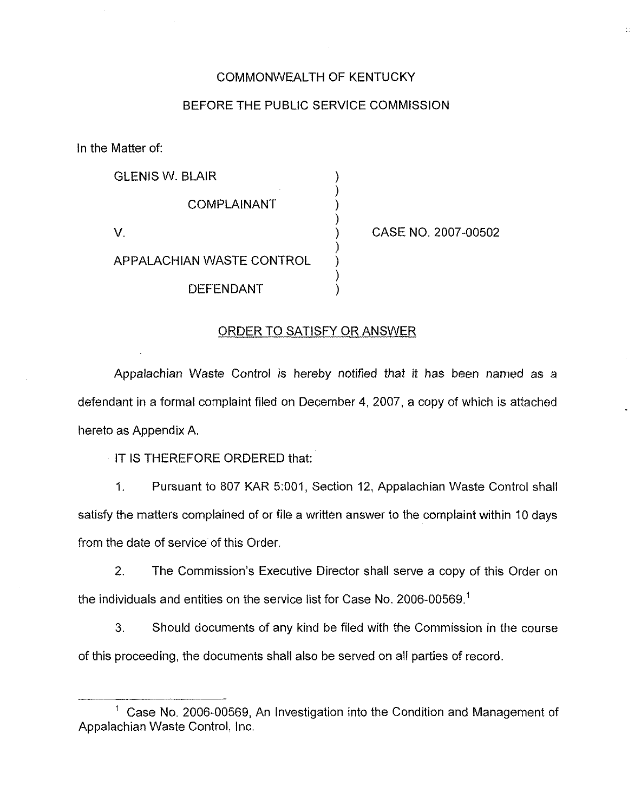### COMMONWEALTH OF KENTUCKY

### BEFORE THE PUBLIC SERVICE COMMISSION

) ) ) )

) ) ) )

In the Matter of:

| <b>GLENIS W. BLAIR</b>           |  |  |  |  |
|----------------------------------|--|--|--|--|
| <b>COMPLAINANT</b>               |  |  |  |  |
| V.                               |  |  |  |  |
| <b>APPALACHIAN WASTE CONTROL</b> |  |  |  |  |
| DEFENDANT                        |  |  |  |  |

) CASE NO. 2007-00502

### ORDER TO SATISFY OR ANSWER

Appalachian Waste Control is hereby notified that it has been named as a defendant in a formal complaint filed on December 4, 2007, a copy of which is attached hereto as Appendix A.

IT IS THEREFORE ORDERED that:

Pursuant to 807 KAR 5:001, Section 12, Appalachian Waste Control shall  $1.$ satisfy the matters complained of or file a written answer to the complaint within 10 days from the date of service of this Order.

2. The Commission's Executive Director shall serve a copy of this Order on the individuals and entities on the service list for Case No. 2006-00569.<sup>1</sup>

3. Should documents of any kind be filed with the Commission in the course of this proceeding, the documents shall also be served on all parties of record.

 $<sup>1</sup>$  Case No. 2006-00569, An Investigation into the Condition and Management of</sup> Appalachian Waste Control, Inc.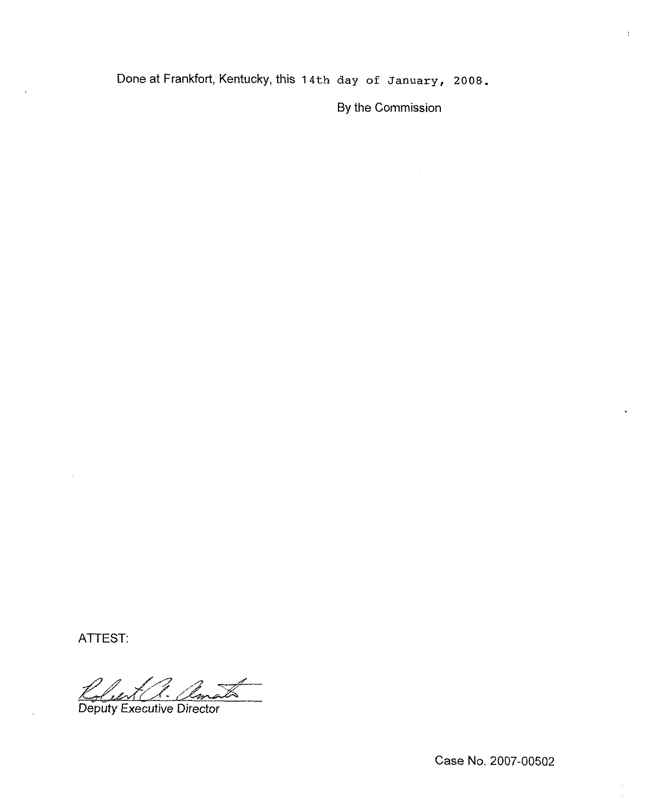Done at Frankfort, Kentucky, this 14th day of January, 2008.

By the Commission

 $\mathcal{V}_\mathrm{c}$ 

ATTEST:

Deputy Executive Director

Case No. 2007-00502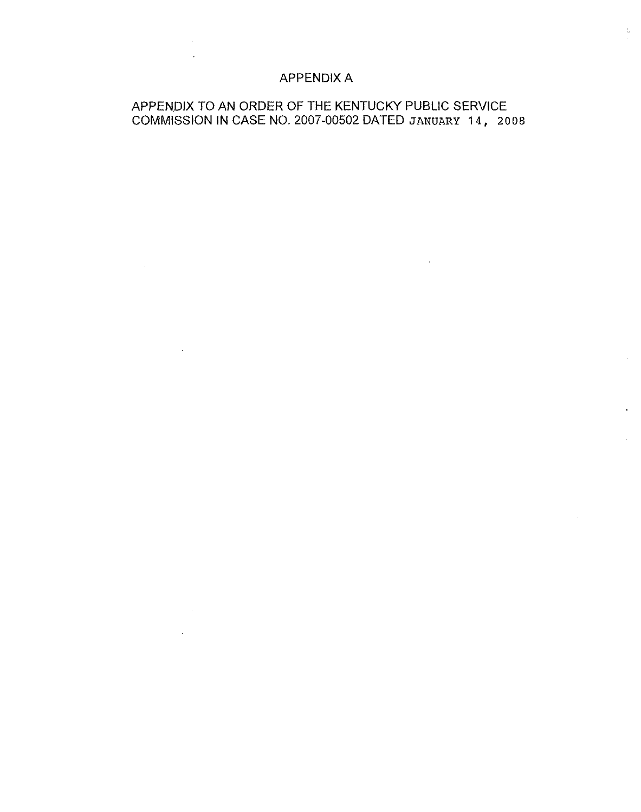## APPENDIX A

 $\mathbb{R}^2$ 

 $\mathcal{L}(\mathcal{A})$  and  $\mathcal{L}(\mathcal{A})$  and  $\mathcal{L}(\mathcal{A})$ 

 $\Delta \sim 10^4$ 

# APPENDIX TO AN ORDER OF THE KENTUCKY PUBLIC SERVICE COMMISSION IN CASE NO. 2007-00502 DATED JANUARY 14, 2008

 $\sim$ 

 $\mathcal{V}_{\alpha}$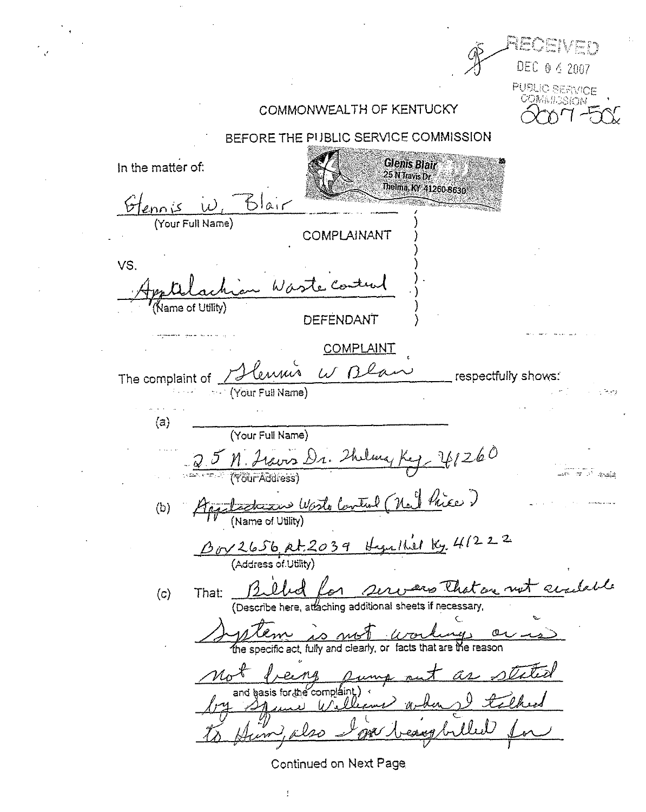Dani DEC 0 4 2007 **PUBLIC SERVICE** COMAN 3Sian COMMONWEALTH OF KENTUCKY BEFORE THE PUBLIC SERVICE COMMISSION **Glenis Blair** In the matter of: 25 N Travis Dr Thelma KY 41260-8630  $Bla$ (Your Full Name) COMPLAINANT VS.  $W$ / Vame of Utility) DEFENDANT COMPLAINT W Bla respectfully shows: The complaint of (Your Full Name) مرحات  $(a)$ (Your Full Name)  $241260$ evis Dr. Thelma (Yöur Address) **Andid** (nal hier) Control <u>etrizind World</u>  $(b)$ (Name of Utility) ger that Ky. 41222  $\frac{\beta_{0}y2656,$   $\rho t.2039}{$  (Address of Utility) - acadable That:  $(c)$ (Describe here, attaching additional sheets if necessary, the specific act, fully and clearly, or facts that are the reason  $\mathcal{U}$ er and hasis for the complaint Continued on Next Page

Í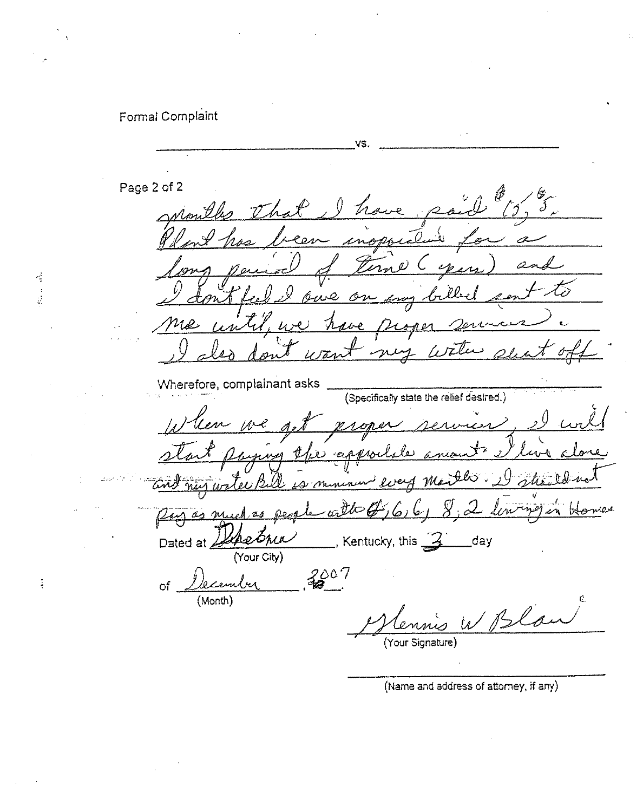# Formal Complaint

 $\frac{1}{2}$ 

VS. Page 2 of 2 wouldes the جبريد Terne Cyen  $\mathcal{Z}$ ts بصو Ó  $l$ , we Mos J. ave  $2$  and  $\alpha$ nus with Wherefore, complainant asks (Specifically state the relief desired.) When we get When we get proper rervier<br>start paying the apportion amount V start paying the appointer ani my water Bill is  $\mathcal{U}$  a  $\mathcal{Y}_n$ S'udf  $\overline{U}$   $\overline{V}$   $\overline{V}$   $\overline{V}$   $\overline{V}$   $\overline{V}$   $\overline{V}$   $\overline{V}$   $\overline{V}$   $\overline{V}$   $\overline{V}$   $\overline{V}$   $\overline{V}$   $\overline{V}$   $\overline{V}$   $\overline{V}$   $\overline{V}$   $\overline{V}$   $\overline{V}$   $\overline{V}$   $\overline{V}$   $\overline{V}$   $\overline{V}$   $\overline{V}$   $\overline{$  $a$  to  $\mathcal{B}, \mathcal{C}$ ,  $\mathcal{C}$ ,  $\mathcal{S}, \mathcal{Z}$ fin (Your City) of  $D$ ecember  $3807$ (Month) Bla (Your Signature)

(Name and address of attorney, if any)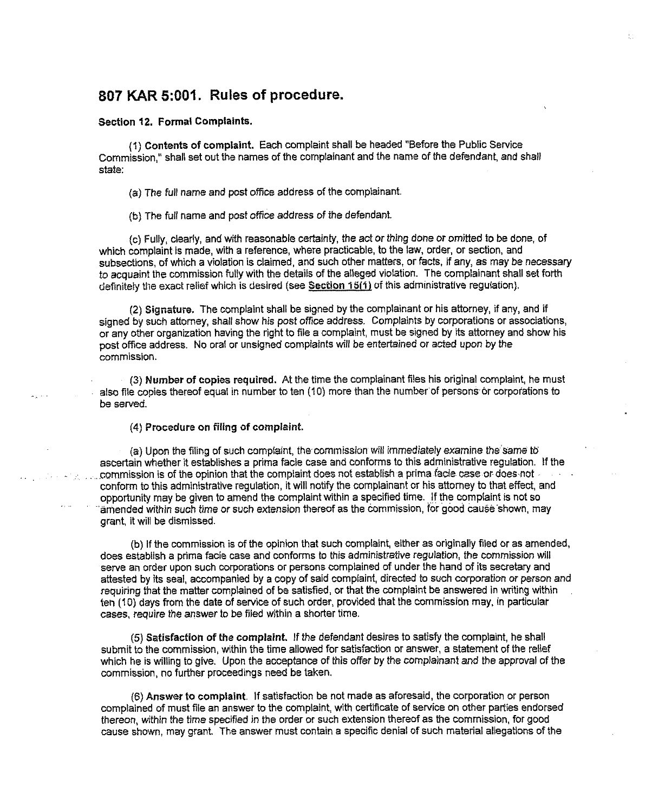# 807 KAR 5:001. Rules of procedure.

#### Section 12. Formal Complaints.

(1) Contents of complaint. Each complaint shall be headed "Before the Public Service Commission," shall set out the names of the complainant and the name of the defendant, and shall state:

{a)The full name and post office address of the complainant.

(b}The fufi name and post office address of the defendant.

{c)Fully, clearly, and with reasonable certainty, the act or thing done or omitted to be done, of which complaint is made, with a reference, where practicable, to the law, order, or section, and subsections, of which a violation is claimed, and such other matters, or facts, if any, as may be necessary to acquaint the commission fully with the details of the alleged violation. The complainant shall set forth definitely the exact relief which is desired (see Section 15(1) of this administrative regulation).

(2) Signature. The complaint shall be signed by the complainant or his attorney, if any, and if signed by such attorney, shall show his post office address. Complaints by corporations or associations, or any other organization having the right to file a complaint, must be signed by its attorney and show his post office address. No oral or unsigned complaints will be entertained or acted upon by the commission.

(3) Number of copies required. At the time the complainant files his original complaint, he must also file copies thereof equal in number to ten (10) more than the number of persons or corporations to be served.

(4) Procedure on filing of complaint.

(a) Upon the filing of such complaint, the commission wifi immediately examine the same to ascertain whether it establishes a prima facie case and conforms to this administrative regulation. If the ......commission is of the opinion that the complaint does not establish a prima facie case or does not conform to this administrative regulation, it will notify the complainant or his attorney to that effect, and opportunity may be given to amend the complaint within a specified time. If the complaint is not so 'amended within such time or such extension thereof as the commission, for good cause shown, may grant, it will be dismissed.

(b) If the commission is of the opinion that such complaint, either as originally filed or as amended, does establish a prima facie case and conforms to this administrative regulation, the commission will serve an order upon such corporations or persons complained of under the hand of its secretary and attested by its seal, accompanied by a copy of said complaint, directed to such corporation or person and requiring that the matter complained of be satisfied, or that the complaint be answered in writing within ten (10) days from the date of service of such order, provided that the commission may, in particular cases, require the answer to be filed within a shorter time.

(5) Satisfaction of the complaint. If the defendant desires to satisfy the complaint, he shafi submit to the commission, within the time allowed for satisfaction or answer, a statement of the relief which he is willing to give. Upon the acceptance of this offer by the complainant and the approval of the commission, no further proceedings need be taken.

{6)Answer to complaint. If satisfaction be not made as aforesaid, the corporation or person complained of must tile an answer to the complaint, with certificate of service on other parties endorsed thereon, within the time specified in the order or such extension thereof as the commission, for good cause shown, may grant. The answer must contain a specific denial of such material allegations of the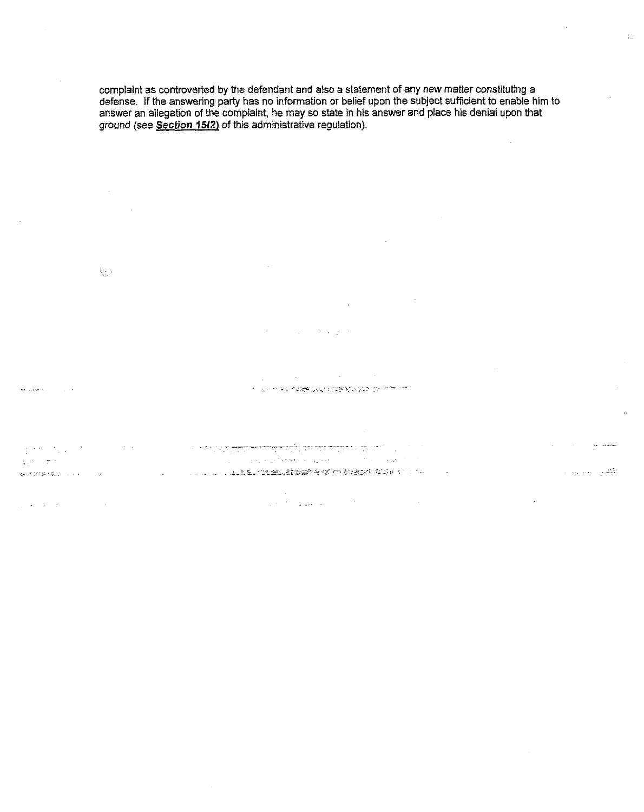complaint as controverted by the defendant and also a statement of any new matter constituting a defense. If the answering party has no information or belief upon the subject sufficient to enable him to answer an allegation of the complaint, he may so state in his answer and place his denial upon that ground (see Section 15(2) of this administrative regulation).

 $\frac{1}{2}$ 

 $\label{eq:1.1} \frac{1}{2} \int_{\mathbb{R}^{3}} \frac{1}{\sqrt{2\pi}} \int_{\mathbb{R}^{3}} \frac{1}{\sqrt{2\pi}} \int_{\mathbb{R}^{3}} \frac{1}{\sqrt{2\pi}} \int_{\mathbb{R}^{3}} \frac{1}{\sqrt{2\pi}} \int_{\mathbb{R}^{3}} \frac{1}{\sqrt{2\pi}} \int_{\mathbb{R}^{3}} \frac{1}{\sqrt{2\pi}} \int_{\mathbb{R}^{3}} \frac{1}{\sqrt{2\pi}} \int_{\mathbb{R}^{3}} \frac{1}{\sqrt{2\pi}} \int_{\mathbb{R}^{3}}$ 

 $\sim$ 

 $\bigcup$ 

الحادي المستعفر

 $\frac{1}{\sqrt{2}}\left(\frac{1}{\sqrt{2}}\right)^{2} \left(\frac{1}{\sqrt{2}}\right)^{2} \left(\frac{1}{\sqrt{2}}\right)^{2} \left(\frac{1}{\sqrt{2}}\right)^{2} \left(\frac{1}{\sqrt{2}}\right)^{2} \left(\frac{1}{\sqrt{2}}\right)^{2} \left(\frac{1}{\sqrt{2}}\right)^{2} \left(\frac{1}{\sqrt{2}}\right)^{2} \left(\frac{1}{\sqrt{2}}\right)^{2} \left(\frac{1}{\sqrt{2}}\right)^{2} \left(\frac{1}{\sqrt{2}}\right)^{2} \left(\frac{1}{\sqrt{2}}$  $\gamma_{\rm{max}}$  $\chi_{\rm{eff}}$  and

 $\mathcal{A}^{\mathcal{A}}$  and  $\mathcal{A}^{\mathcal{A}}$  are the set of the set of  $\mathcal{A}^{\mathcal{A}}$ 

 $\sim 10^7$  $\sim 10^{-1}$  $\mathcal{N} = \mathcal{N} \times \mathcal{N} \times \mathcal{N} \times \mathcal{N} \times \mathcal{N} \times \mathcal{N} \times \mathcal{N} \times \mathcal{N} \times \mathcal{N} \times \mathcal{N} \times \mathcal{N} \times \mathcal{N} \times \mathcal{N} \times \mathcal{N} \times \mathcal{N} \times \mathcal{N} \times \mathcal{N} \times \mathcal{N} \times \mathcal{N} \times \mathcal{N} \times \mathcal{N} \times \mathcal{N} \times \mathcal{N} \times \mathcal{N} \times \mathcal{N} \times \mathcal{N} \times \mathcal{N$ 

 $\mathcal{A} \in \mathcal{A} \times \mathcal{B} \times \mathcal{B} \times \mathcal{B} \times \mathcal{B} \times \mathcal{B} \times \mathcal{B} \times \mathcal{B} \times \mathcal{B} \times \mathcal{B} \times \mathcal{B} \times \mathcal{B} \times \mathcal{B} \times \mathcal{B} \times \mathcal{B} \times \mathcal{B} \times \mathcal{B} \times \mathcal{B} \times \mathcal{B} \times \mathcal{B} \times \mathcal{B} \times \mathcal{B} \times \mathcal{B} \times \mathcal{B} \times \mathcal{B} \times \mathcal{B} \times \mathcal{$ المتعلق الأرادي والمرادين  $\bar{z}$ あるのを(を) ファイン・マーク  $\mathcal{L}^{\mathcal{L}}(\mathcal{L}^{\mathcal{L}})$  and  $\mathcal{L}^{\mathcal{L}}(\mathcal{L}^{\mathcal{L}})$ 

 $\mathcal{L}^{\text{max}}_{\text{max}}$  and  $\mathcal{L}^{\text{max}}_{\text{max}}$  and  $\mathcal{L}^{\text{max}}_{\text{max}}$  and  $\mathcal{L}^{\text{max}}_{\text{max}}$  $\sim 10$  $\Delta \phi$  , and  $\Delta \phi$  , and  $\Delta \phi$  , and  $\Delta \phi$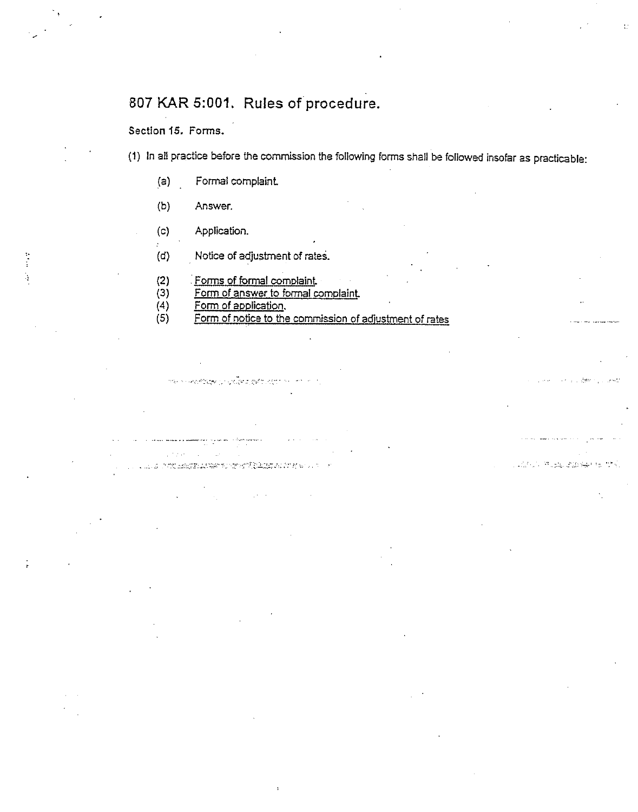# 807 KAR 5:001. Rules of procedure.

Section 15. Forms.

l, (1) In all practice before the commission the following forms shall be followed insofar as practicable:

2400 节 歳子の役りあつ

- (a) Formal complaint.
- (b) Answer.
- (c) Application.
- (d) Notice of adjustment of rates
- (2) Forms of formal complaint.
- (S) Form of answer to formal comolaint.
- (4) <u>Form of application</u>

าน การสลังแดง (กรุงเงิง อ.อ.ส.ว.อ.เว

 $\mathcal{L}^{\text{in}}(\mathcal{L}^{\text{in}}(\mathcal{L}^{\text{in}}(\mathcal{L}^{\text{in}}(\mathcal{L}^{\text{in}}(\mathcal{L}^{\text{in}}(\mathcal{L}^{\text{in}}(\mathcal{L}^{\text{in}}(\mathcal{L}^{\text{in}}(\mathcal{L}^{\text{in}}(\mathcal{L}^{\text{in}}(\mathcal{L}^{\text{in}}(\mathcal{L}^{\text{in}}(\mathcal{L}^{\text{in}}(\mathcal{L}^{\text{in}}(\mathcal{L}^{\text{in}}(\mathcal{L}^{\text{in}}(\mathcal{L}^{\text{in}}(\mathcal{$ 

(S) Form of notice to the commission of adiustment of rates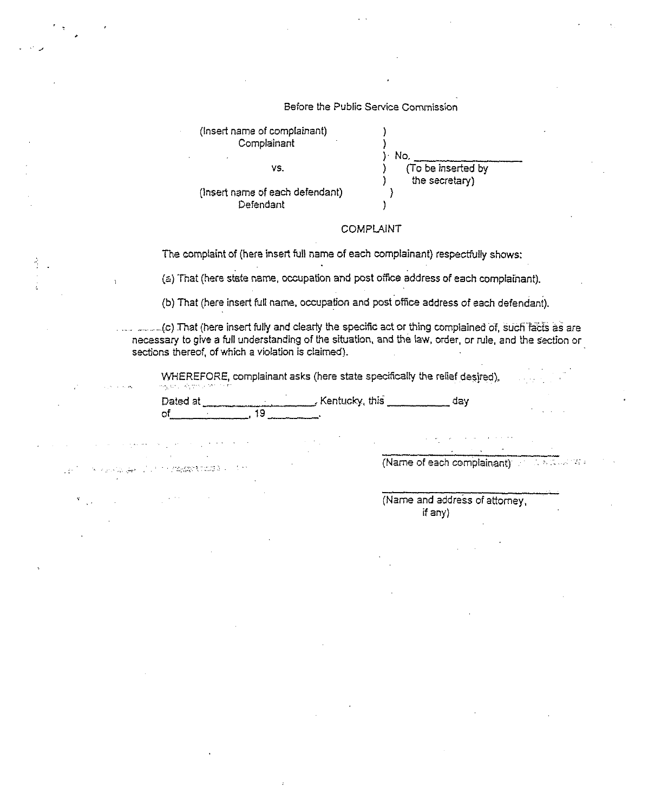| Before the Public Service Commission<br>(Insert name of complainant)<br>Complainant<br>No.<br>(To be inserted by<br>VS.<br>the secretary)<br>(Insert name of each defendant)<br>Defendant<br><b>COMPLAINT</b><br>The complaint of (here insert full name of each complainant) respectfully shows:<br>(a) That (here state name, occupation and post office address of each complainant).<br>(b) That (here insert full name, occupation and post office address of each defendant).<br>necessary to give a full understanding of the situation, and the law, order, or rule, and the section or<br>sections thereof, of which a violation is claimed).<br>WHEREFORE, complainant asks (here state specifically the relief desired),<br>아님께 나올해서 아이가 한<br>Dated at Manuscript Mentucky, this<br>day<br>$\overline{19}$<br>оf<br>$\sim 1000$ km s $^{-1}$<br>(Name of each complainant) and was selected<br>$\mathcal{S}_{\mathcal{A}}(\mathcal{A},\mathcal{C},\mathcal{C},\mathcal{C},\mathcal{C})=\mathcal{S}_{\mathcal{A}}(\mathcal{C},\mathcal{C})=\mathcal{S}_{\mathcal{A}}(\mathcal{C},\mathcal{C},\mathcal{C})=\mathcal{C}_{\mathcal{A}}(\mathcal{C},\mathcal{C},\mathcal{C})$<br>$\label{eq:2.1} \mathcal{L}_{\mathcal{A}}(\mathcal{A}) = \mathcal{L}_{\mathcal{A}}(\mathcal{A}) \mathcal{L}_{\mathcal{A}}(\mathcal{A})$<br>(Name and address of attorney,<br>$\mathcal{F}_{\mathcal{A}(\mathcal{A},\mathcal{A})}$ and<br>if any)<br>$\sim$<br>$\cdot$<br>the control of the state of the control of |  |  |
|------------------------------------------------------------------------------------------------------------------------------------------------------------------------------------------------------------------------------------------------------------------------------------------------------------------------------------------------------------------------------------------------------------------------------------------------------------------------------------------------------------------------------------------------------------------------------------------------------------------------------------------------------------------------------------------------------------------------------------------------------------------------------------------------------------------------------------------------------------------------------------------------------------------------------------------------------------------------------------------------------------------------------------------------------------------------------------------------------------------------------------------------------------------------------------------------------------------------------------------------------------------------------------------------------------------------------------------------------------------------------------------------------------------------------------------------------------------------------------------------------------|--|--|
|                                                                                                                                                                                                                                                                                                                                                                                                                                                                                                                                                                                                                                                                                                                                                                                                                                                                                                                                                                                                                                                                                                                                                                                                                                                                                                                                                                                                                                                                                                            |  |  |
|                                                                                                                                                                                                                                                                                                                                                                                                                                                                                                                                                                                                                                                                                                                                                                                                                                                                                                                                                                                                                                                                                                                                                                                                                                                                                                                                                                                                                                                                                                            |  |  |
|                                                                                                                                                                                                                                                                                                                                                                                                                                                                                                                                                                                                                                                                                                                                                                                                                                                                                                                                                                                                                                                                                                                                                                                                                                                                                                                                                                                                                                                                                                            |  |  |
|                                                                                                                                                                                                                                                                                                                                                                                                                                                                                                                                                                                                                                                                                                                                                                                                                                                                                                                                                                                                                                                                                                                                                                                                                                                                                                                                                                                                                                                                                                            |  |  |
|                                                                                                                                                                                                                                                                                                                                                                                                                                                                                                                                                                                                                                                                                                                                                                                                                                                                                                                                                                                                                                                                                                                                                                                                                                                                                                                                                                                                                                                                                                            |  |  |
|                                                                                                                                                                                                                                                                                                                                                                                                                                                                                                                                                                                                                                                                                                                                                                                                                                                                                                                                                                                                                                                                                                                                                                                                                                                                                                                                                                                                                                                                                                            |  |  |
|                                                                                                                                                                                                                                                                                                                                                                                                                                                                                                                                                                                                                                                                                                                                                                                                                                                                                                                                                                                                                                                                                                                                                                                                                                                                                                                                                                                                                                                                                                            |  |  |
|                                                                                                                                                                                                                                                                                                                                                                                                                                                                                                                                                                                                                                                                                                                                                                                                                                                                                                                                                                                                                                                                                                                                                                                                                                                                                                                                                                                                                                                                                                            |  |  |
|                                                                                                                                                                                                                                                                                                                                                                                                                                                                                                                                                                                                                                                                                                                                                                                                                                                                                                                                                                                                                                                                                                                                                                                                                                                                                                                                                                                                                                                                                                            |  |  |
|                                                                                                                                                                                                                                                                                                                                                                                                                                                                                                                                                                                                                                                                                                                                                                                                                                                                                                                                                                                                                                                                                                                                                                                                                                                                                                                                                                                                                                                                                                            |  |  |
|                                                                                                                                                                                                                                                                                                                                                                                                                                                                                                                                                                                                                                                                                                                                                                                                                                                                                                                                                                                                                                                                                                                                                                                                                                                                                                                                                                                                                                                                                                            |  |  |
|                                                                                                                                                                                                                                                                                                                                                                                                                                                                                                                                                                                                                                                                                                                                                                                                                                                                                                                                                                                                                                                                                                                                                                                                                                                                                                                                                                                                                                                                                                            |  |  |
|                                                                                                                                                                                                                                                                                                                                                                                                                                                                                                                                                                                                                                                                                                                                                                                                                                                                                                                                                                                                                                                                                                                                                                                                                                                                                                                                                                                                                                                                                                            |  |  |
|                                                                                                                                                                                                                                                                                                                                                                                                                                                                                                                                                                                                                                                                                                                                                                                                                                                                                                                                                                                                                                                                                                                                                                                                                                                                                                                                                                                                                                                                                                            |  |  |
|                                                                                                                                                                                                                                                                                                                                                                                                                                                                                                                                                                                                                                                                                                                                                                                                                                                                                                                                                                                                                                                                                                                                                                                                                                                                                                                                                                                                                                                                                                            |  |  |
|                                                                                                                                                                                                                                                                                                                                                                                                                                                                                                                                                                                                                                                                                                                                                                                                                                                                                                                                                                                                                                                                                                                                                                                                                                                                                                                                                                                                                                                                                                            |  |  |
|                                                                                                                                                                                                                                                                                                                                                                                                                                                                                                                                                                                                                                                                                                                                                                                                                                                                                                                                                                                                                                                                                                                                                                                                                                                                                                                                                                                                                                                                                                            |  |  |
|                                                                                                                                                                                                                                                                                                                                                                                                                                                                                                                                                                                                                                                                                                                                                                                                                                                                                                                                                                                                                                                                                                                                                                                                                                                                                                                                                                                                                                                                                                            |  |  |
|                                                                                                                                                                                                                                                                                                                                                                                                                                                                                                                                                                                                                                                                                                                                                                                                                                                                                                                                                                                                                                                                                                                                                                                                                                                                                                                                                                                                                                                                                                            |  |  |
|                                                                                                                                                                                                                                                                                                                                                                                                                                                                                                                                                                                                                                                                                                                                                                                                                                                                                                                                                                                                                                                                                                                                                                                                                                                                                                                                                                                                                                                                                                            |  |  |
|                                                                                                                                                                                                                                                                                                                                                                                                                                                                                                                                                                                                                                                                                                                                                                                                                                                                                                                                                                                                                                                                                                                                                                                                                                                                                                                                                                                                                                                                                                            |  |  |
|                                                                                                                                                                                                                                                                                                                                                                                                                                                                                                                                                                                                                                                                                                                                                                                                                                                                                                                                                                                                                                                                                                                                                                                                                                                                                                                                                                                                                                                                                                            |  |  |
|                                                                                                                                                                                                                                                                                                                                                                                                                                                                                                                                                                                                                                                                                                                                                                                                                                                                                                                                                                                                                                                                                                                                                                                                                                                                                                                                                                                                                                                                                                            |  |  |
|                                                                                                                                                                                                                                                                                                                                                                                                                                                                                                                                                                                                                                                                                                                                                                                                                                                                                                                                                                                                                                                                                                                                                                                                                                                                                                                                                                                                                                                                                                            |  |  |
|                                                                                                                                                                                                                                                                                                                                                                                                                                                                                                                                                                                                                                                                                                                                                                                                                                                                                                                                                                                                                                                                                                                                                                                                                                                                                                                                                                                                                                                                                                            |  |  |
|                                                                                                                                                                                                                                                                                                                                                                                                                                                                                                                                                                                                                                                                                                                                                                                                                                                                                                                                                                                                                                                                                                                                                                                                                                                                                                                                                                                                                                                                                                            |  |  |
|                                                                                                                                                                                                                                                                                                                                                                                                                                                                                                                                                                                                                                                                                                                                                                                                                                                                                                                                                                                                                                                                                                                                                                                                                                                                                                                                                                                                                                                                                                            |  |  |
|                                                                                                                                                                                                                                                                                                                                                                                                                                                                                                                                                                                                                                                                                                                                                                                                                                                                                                                                                                                                                                                                                                                                                                                                                                                                                                                                                                                                                                                                                                            |  |  |
|                                                                                                                                                                                                                                                                                                                                                                                                                                                                                                                                                                                                                                                                                                                                                                                                                                                                                                                                                                                                                                                                                                                                                                                                                                                                                                                                                                                                                                                                                                            |  |  |
|                                                                                                                                                                                                                                                                                                                                                                                                                                                                                                                                                                                                                                                                                                                                                                                                                                                                                                                                                                                                                                                                                                                                                                                                                                                                                                                                                                                                                                                                                                            |  |  |
|                                                                                                                                                                                                                                                                                                                                                                                                                                                                                                                                                                                                                                                                                                                                                                                                                                                                                                                                                                                                                                                                                                                                                                                                                                                                                                                                                                                                                                                                                                            |  |  |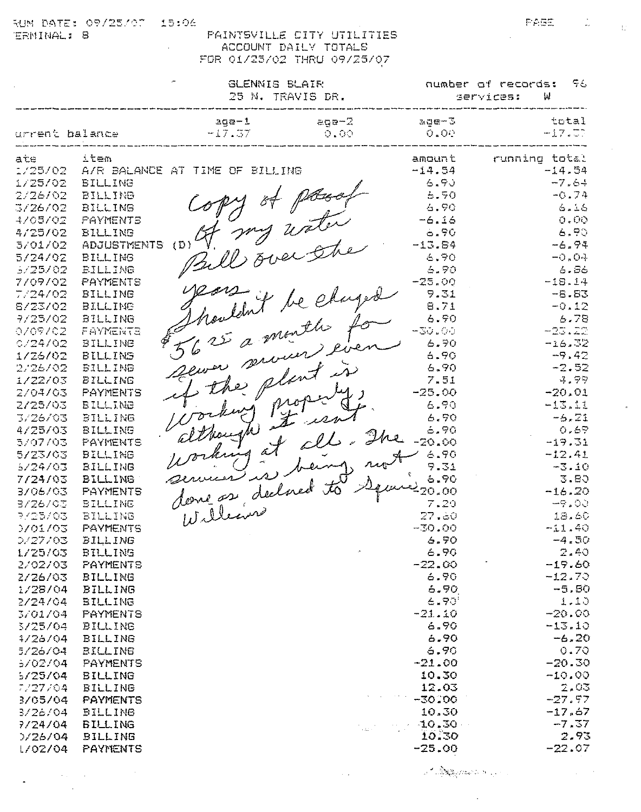15:06 RUN DATE: 09/25/07 ERMINAL: 8

 $\sim$   $\sim$ 

 $\bar{z}$ 

PAINTSVILLE CITY UTILITIES ACCOUNT DAILY TOTALS FOR 01/25/02 THRU 09/25/07

|                                                                                                                                                                                                                                                                                                                                |                                                                                                                                                                                                                                                                                                                                                                                                                    | <b>GLENNIS BLAIR</b><br>25 N. TRAVIS DR.                                                                                           |                                                                                                                                                           |                                                                                                                                                                                                                                                                                       | number of records:<br>Γ£,<br>services:<br>₩                                                                                                                                                                                                                                                                      |  |  |
|--------------------------------------------------------------------------------------------------------------------------------------------------------------------------------------------------------------------------------------------------------------------------------------------------------------------------------|--------------------------------------------------------------------------------------------------------------------------------------------------------------------------------------------------------------------------------------------------------------------------------------------------------------------------------------------------------------------------------------------------------------------|------------------------------------------------------------------------------------------------------------------------------------|-----------------------------------------------------------------------------------------------------------------------------------------------------------|---------------------------------------------------------------------------------------------------------------------------------------------------------------------------------------------------------------------------------------------------------------------------------------|------------------------------------------------------------------------------------------------------------------------------------------------------------------------------------------------------------------------------------------------------------------------------------------------------------------|--|--|
| urrent balance                                                                                                                                                                                                                                                                                                                 |                                                                                                                                                                                                                                                                                                                                                                                                                    | $age-1$<br>$-17.77$                                                                                                                | $agge - 2$<br>$O$ $O$ $O$                                                                                                                                 | age-3<br>$O$ $\sim$ $O^{13}$                                                                                                                                                                                                                                                          | total<br>$-17.77$                                                                                                                                                                                                                                                                                                |  |  |
| ate<br>1725702<br>1725702<br>2/26/02<br>3726702<br>1705702<br>4/25/02<br>5/01/02<br>5/24/02<br>5725702<br>7709702<br>7/24/02<br>8/23/02<br>7/25/02<br>0769702<br>0724702<br>1/26/02<br>2726702<br><i>1722703</i><br>2/04/03<br>2/25/03<br>3/26/03<br>4/25/03<br>5/07/03<br>5/23/03<br>5/24/03<br>7724703<br>3706703<br>3/26/03 | item<br><b>BILLING</b><br><b>BILLING</b><br>BILLING<br>PAYMENTS<br><b>BILLING</b><br><b>ADJUSTMENTS</b><br><b>BILLING</b><br><b>BILLING</b><br>PAYMENTS<br>BILLING<br><b>BILLING</b><br>BILLING<br>FAYMENTS<br>BILLING<br>BILLING<br>BILLING<br><b>BILLING</b><br><b>PAYMENTS</b><br><b>BILLING</b><br><b>BILLING</b><br>BILLING<br>PAYMENTS<br>BILLING<br><b>BILLING</b><br><b>BILLING</b><br>PAYMENTS<br>BILLING | A/R BALANCE AT TIME OF BILLING<br>(D)<br>5625 a month for<br>$\oint_C$<br>server servier even<br>if the plant is<br>Working proper | y of paral<br>7 mg uster<br>Bill over the<br>Nowlant be charged<br>although it isn't<br>Working at all. The<br>ices is being not<br>dong as declared to 1 | amount<br>$-14.54$<br>6.70<br>5.50<br>6.90<br>$-6.16$<br>$-190$<br>$-13.54$<br>6.70<br>6.90<br>$-25.00$<br>9.31<br>8.71<br>6.70<br>$-3\cup$ . $\cup$ .<br>6.70<br>6.90<br>6.90<br>7.51<br>$-25.00$<br>6.70<br>6.50<br>6.90<br>$-20.00$<br>6.90<br>9.31<br>6.90<br>1 m 2 20.00<br>7.20 | running total<br>$-14.54$<br>$-7.64$<br>$-0.74$<br>6.16<br>0.00<br>6.90<br>$-6.94$<br>$-0.04$<br>6.56<br>$-18.14$<br>$-6.83$<br>$-0.12$<br>6.78<br>$-25.22$<br>$-16.32$<br>$-9.42$<br>$-2.52$<br>4.77<br>$-20.01$<br>$-13.11$<br>$-5.21$<br>0.69<br>$-19.31$<br>$-12.41$<br>$-3.10$<br>3.80<br>$-16.20$<br>-9.00 |  |  |
| 7/25/03<br>0701703<br>0/27/03<br>1/25/03<br>2/02/03<br>2/26/03<br>1/28/04<br>2/24/04<br>3/01/04<br>3/25/04<br>4/2 <sub>0</sub> /04<br>5/26/04<br>5/02/04<br>5/25/04<br>7/27/04<br>3/05/04<br>3/26/04<br>7/24/04<br>7/26/04<br>1/02/04                                                                                          | BILLING<br>PAYMENTS<br><b>BILLING</b><br>BILLING<br>PAYMENTS<br><b>BILLING</b><br><b>BILLING</b><br><b>BILLING</b><br><b>PAYMENTS</b><br>BILLING<br><b>BILLING</b><br><b>BILLING</b><br><b>PAYMENTS</b><br><b>BILLING</b><br><b>BILLING</b><br><b>PAYMENTS</b><br>BILLING<br><b>BILLING</b><br><b>BILLING</b><br><b>PAYMENTS</b>                                                                                   | Williams                                                                                                                           |                                                                                                                                                           | 27.80<br>$-30.00$<br>G. 70<br>$\infty$ . FO<br>$-22.00$<br>6.70<br>6.90<br>6.90'<br>$-21.10$<br>6.90<br>6.90<br>6.90<br>$-21.00$<br>10.30<br>12.03<br>$-30.00$<br>10.30<br>$-10.30$<br>10.30<br>$-25.00$                                                                              | 18.60<br>$-11.40$<br>$-4.50$<br>2.40<br>$-19.60$<br>$-12.70$<br>$-5.80$<br>1.10<br>$-20.00$<br>$-13.10$<br>$-6.20$<br>0.70<br>$-20.30$<br>$-10.00$<br>2.03<br>$-27.97$<br>$-17.57$<br>$-7, 37$<br>2.93<br>$-22.07$                                                                                               |  |  |

 $\sim 10^7$ 

 $\label{eq:2} \mathcal{A} = \mathcal{A} \sum_{i=1}^{n} \sum_{j=1}^{n} \sum_{j=1}^{n} \mathcal{L} \mathcal{L} \mathcal{L} \mathcal{L} \mathcal{L} \mathcal{L} \mathcal{L} \mathcal{L} \mathcal{L} \mathcal{L} \mathcal{L} \mathcal{L} \mathcal{L} \mathcal{L} \mathcal{L} \mathcal{L} \mathcal{L} \mathcal{L} \mathcal{L} \mathcal{L} \mathcal{L} \mathcal{L} \mathcal{L} \mathcal{L} \mathcal{L} \mathcal{L} \mathcal{L} \mathcal{L} \math$ 

 $\mathcal{L}_{\mathcal{A}}$ 

 $\Delta \sim 10^{11}$ 

**FAGE** 

 $\frac{1}{\pi \epsilon}$ 

i.